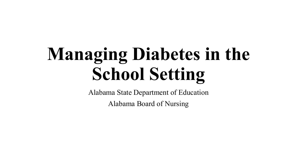# **Managing Diabetes in the School Setting**

Alabama State Department of Education

Alabama Board of Nursing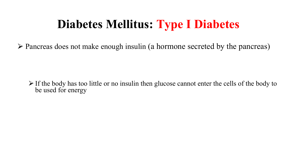### **Diabetes Mellitus: Type I Diabetes**

 $\triangleright$  Pancreas does not make enough insulin (a hormone secreted by the pancreas)

 $\triangleright$  If the body has too little or no insulin then glucose cannot enter the cells of the body to be used for energy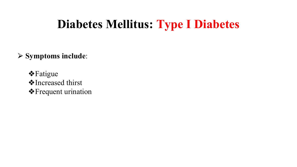#### **Diabetes Mellitus: Type I Diabetes**

#### ⮚ **Symptoms include**:

❖Fatigue ❖Increased thirst ❖Frequent urination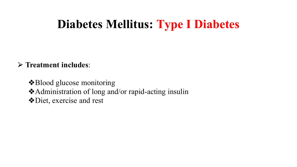#### **Diabetes Mellitus: Type I Diabetes**

#### ⮚ **Treatment includes**:

❖Blood glucose monitoring ❖Administration of long and/or rapid-acting insulin ❖Diet, exercise and rest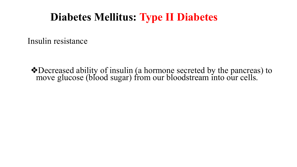#### **Diabetes Mellitus: Type II Diabetes**

Insulin resistance

❖Decreased ability of insulin (a hormone secreted by the pancreas) to move glucose (blood sugar) from our bloodstream into our cells.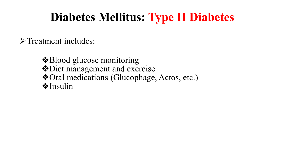### **Diabetes Mellitus: Type II Diabetes**

>Treatment includes:

❖Blood glucose monitoring ❖Diet management and exercise ❖Oral medications (Glucophage, Actos, etc.) ❖Insulin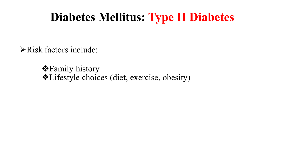#### **Diabetes Mellitus: Type II Diabetes**

 $\triangleright$  Risk factors include:

❖Family history ❖Lifestyle choices (diet, exercise, obesity)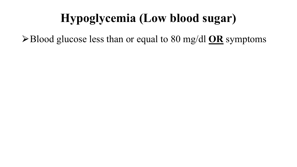### **Hypoglycemia (Low blood sugar)**

⮚Blood glucose less than or equal to 80 mg/dl **OR** symptoms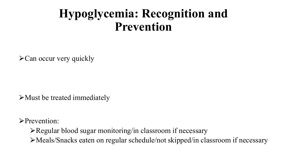#### **Hypoglycemia: Recognition and Prevention**

 $\triangle$ Can occur very quickly

 $\triangleright$  Must be treated immediately

⮚Prevention:

 $\triangleright$  Regular blood sugar monitoring/in classroom if necessary

⮚Meals/Snacks eaten on regular schedule/not skipped/in classroom if necessary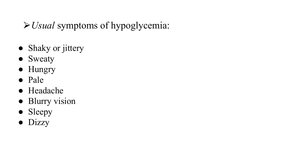#### ⮚*Usual* symptoms of hypoglycemia:

- Shaky or jittery
- Sweaty
- Hungry
- Pale
- Headache
- Blurry vision
- Sleepy
- Dizzy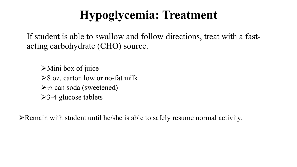## **Hypoglycemia: Treatment**

If student is able to swallow and follow directions, treat with a fastacting carbohydrate (CHO) source.

 $\triangleright$  Mini box of juice  $\geq 8$  oz. carton low or no-fat milk  $\triangleright$ <sup>1</sup>/<sub>2</sub> can soda (sweetened)  $\ge$ 3-4 glucose tablets

 $\triangleright$  Remain with student until he/she is able to safely resume normal activity.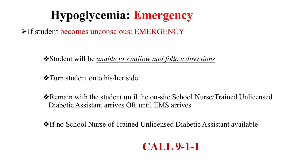# **Hypoglycemia: Emergency**

 $\triangleright$ If student becomes unconscious: EMERGENCY

❖Student will be *unable to swallow and follow directions*

❖Turn student onto his/her side

❖Remain with the student until the on-site School Nurse/Trained Unlicensed Diabetic Assistant arrives OR until EMS arrives

❖If no School Nurse of Trained Unlicensed Diabetic Assistant available

#### - **CALL 9-1-1**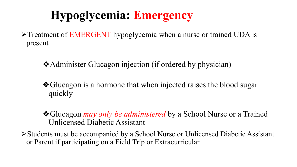# **Hypoglycemia: Emergency**

⮚Treatment of EMERGENT hypoglycemia when a nurse or trained UDA is present

❖Administer Glucagon injection (if ordered by physician)

❖Glucagon is a hormone that when injected raises the blood sugar quickly

❖Glucagon *may only be administered* by a School Nurse or a Trained Unlicensed Diabetic Assistant

⮚Students must be accompanied by a School Nurse or Unlicensed Diabetic Assistant or Parent if participating on a Field Trip or Extracurricular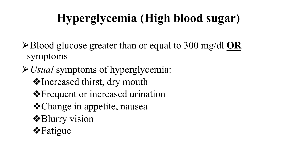# **Hyperglycemia (High blood sugar)**

⮚Blood glucose greater than or equal to 300 mg/dl **OR** symptoms

⮚*Usual* symptoms of hyperglycemia: ❖Increased thirst, dry mouth ❖Frequent or increased urination ❖Change in appetite, nausea ❖Blurry vision ❖Fatigue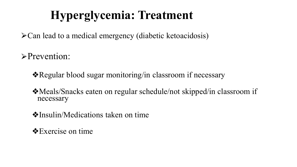# **Hyperglycemia: Treatment**

⮚Can lead to a medical emergency (diabetic ketoacidosis)

⮚Prevention:

❖Regular blood sugar monitoring/in classroom if necessary

❖Meals/Snacks eaten on regular schedule/not skipped/in classroom if necessary

❖Insulin/Medications taken on time

❖Exercise on time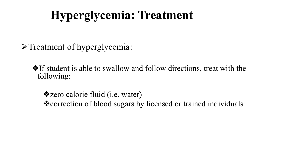# **Hyperglycemia: Treatment**

>Treatment of hyperglycemia:

❖If student is able to swallow and follow directions, treat with the following:

❖zero calorie fluid (i.e. water) ❖correction of blood sugars by licensed or trained individuals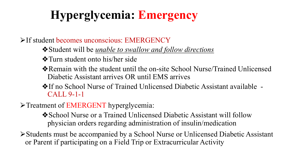# **Hyperglycemia: Emergency**

If student becomes unconscious: EMERGENCY

❖Student will be *unable to swallow and follow directions*

❖Turn student onto his/her side

- ❖Remain with the student until the on-site School Nurse/Trained Unlicensed Diabetic Assistant arrives OR until EMS arrives
- ❖If no School Nurse of Trained Unlicensed Diabetic Assistant available CALL 9-1-1
- >Treatment of EMERGENT hyperglycemia:

❖School Nurse or a Trained Unlicensed Diabetic Assistant will follow physician orders regarding administration of insulin/medication

⮚Students must be accompanied by a School Nurse or Unlicensed Diabetic Assistant or Parent if participating on a Field Trip or Extracurricular Activity